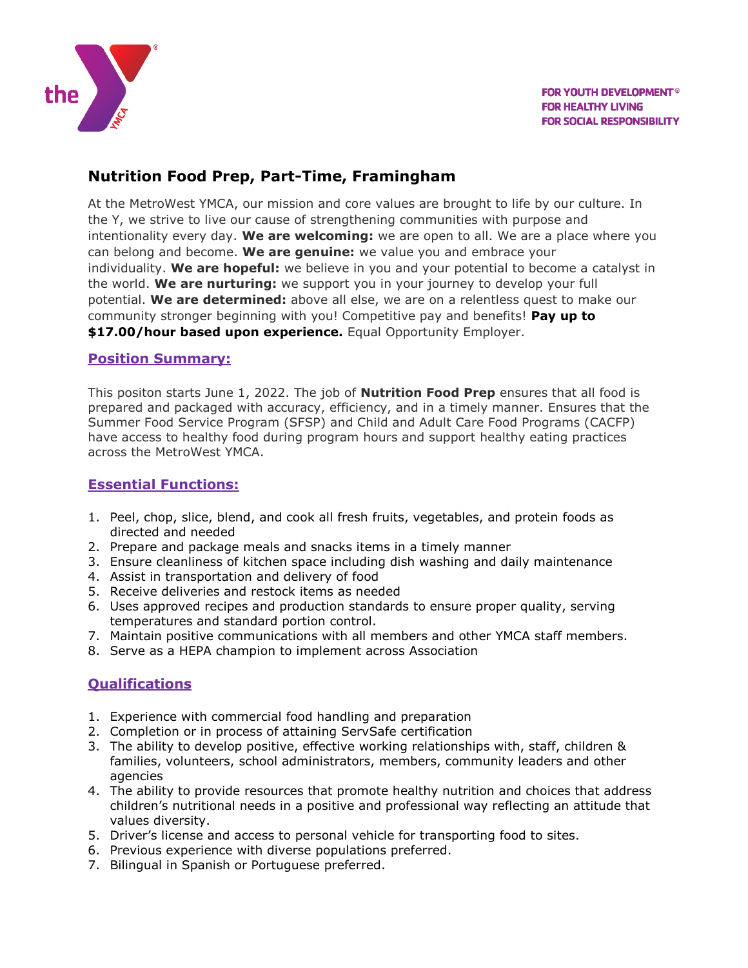

# **Nutrition Food Prep, Part-Time, Framingham**

At the MetroWest YMCA, our mission and core values are brought to life by our culture. In the Y, we strive to live our cause of strengthening communities with purpose and intentionality every day. **We are welcoming:** we are open to all. We are a place where you can belong and become. **We are genuine:** we value you and embrace your individuality. **We are hopeful:** we believe in you and your potential to become a catalyst in the world. **We are nurturing:** we support you in your journey to develop your full potential. **We are determined:** above all else, we are on a relentless quest to make our community stronger beginning with you! Competitive pay and benefits! **Pay up to \$17.00/hour based upon experience.** Equal Opportunity Employer.

#### **Position Summary:**

This positon starts June 1, 2022. The job of **Nutrition Food Prep** ensures that all food is prepared and packaged with accuracy, efficiency, and in a timely manner. Ensures that the Summer Food Service Program (SFSP) and Child and Adult Care Food Programs (CACFP) have access to healthy food during program hours and support healthy eating practices across the MetroWest YMCA.

### **Essential Functions:**

- 1. Peel, chop, slice, blend, and cook all fresh fruits, vegetables, and protein foods as directed and needed
- 2. Prepare and package meals and snacks items in a timely manner
- 3. Ensure cleanliness of kitchen space including dish washing and daily maintenance
- 4. Assist in transportation and delivery of food
- 5. Receive deliveries and restock items as needed
- 6. Uses approved recipes and production standards to ensure proper quality, serving temperatures and standard portion control.
- 7. Maintain positive communications with all members and other YMCA staff members.
- 8. Serve as a HEPA champion to implement across Association

## **Qualifications**

- 1. Experience with commercial food handling and preparation
- 2. Completion or in process of attaining ServSafe certification
- 3. The ability to develop positive, effective working relationships with, staff, children & families, volunteers, school administrators, members, community leaders and other agencies
- 4. The ability to provide resources that promote healthy nutrition and choices that address children's nutritional needs in a positive and professional way reflecting an attitude that values diversity.
- 5. Driver's license and access to personal vehicle for transporting food to sites.
- 6. Previous experience with diverse populations preferred.
- 7. Bilingual in Spanish or Portuguese preferred.